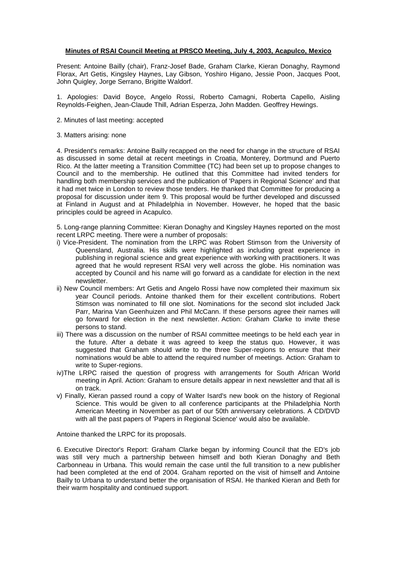## **Minutes of RSAI Council Meeting at PRSCO Meeting, July 4, 2003, Acapulco, Mexico**

Present: Antoine Bailly (chair), Franz-Josef Bade, Graham Clarke, Kieran Donaghy, Raymond Florax, Art Getis, Kingsley Haynes, Lay Gibson, Yoshiro Higano, Jessie Poon, Jacques Poot, John Quigley, Jorge Serrano, Brigitte Waldorf.

1. Apologies: David Boyce, Angelo Rossi, Roberto Camagni, Roberta Capello, Aisling Reynolds-Feighen, Jean-Claude Thill, Adrian Esperza, John Madden. Geoffrey Hewings.

- 2. Minutes of last meeting: accepted
- 3. Matters arising: none

4. President's remarks: Antoine Bailly recapped on the need for change in the structure of RSAI as discussed in some detail at recent meetings in Croatia, Monterey, Dortmund and Puerto Rico. At the latter meeting a Transition Committee (TC) had been set up to propose changes to Council and to the membership. He outlined that this Committee had invited tenders for handling both membership services and the publication of 'Papers in Regional Science' and that it had met twice in London to review those tenders. He thanked that Committee for producing a proposal for discussion under item 9. This proposal would be further developed and discussed at Finland in August and at Philadelphia in November. However, he hoped that the basic principles could be agreed in Acapulco.

5. Long-range planning Committee: Kieran Donaghy and Kingsley Haynes reported on the most recent LRPC meeting. There were a number of proposals:

- i) Vice-President. The nomination from the LRPC was Robert Stimson from the University of Queensland, Australia. His skills were highlighted as including great experience in publishing in regional science and great experience with working with practitioners. It was agreed that he would represent RSAI very well across the globe. His nomination was accepted by Council and his name will go forward as a candidate for election in the next newsletter.
- ii) New Council members: Art Getis and Angelo Rossi have now completed their maximum six year Council periods. Antoine thanked them for their excellent contributions. Robert Stimson was nominated to fill one slot. Nominations for the second slot included Jack Parr, Marina Van Geenhuizen and Phil McCann. If these persons agree their names will go forward for election in the next newsletter. Action: Graham Clarke to invite these persons to stand.
- iii) There was a discussion on the number of RSAI committee meetings to be held each year in the future. After a debate it was agreed to keep the status quo. However, it was suggested that Graham should write to the three Super-regions to ensure that their nominations would be able to attend the required number of meetings. Action: Graham to write to Super-regions.
- iv)The LRPC raised the question of progress with arrangements for South African World meeting in April. Action: Graham to ensure details appear in next newsletter and that all is on track.
- v) Finally, Kieran passed round a copy of Walter Isard's new book on the history of Regional Science. This would be given to all conference participants at the Philadelphia North American Meeting in November as part of our 50th anniversary celebrations. A CD/DVD with all the past papers of 'Papers in Regional Science' would also be available.

Antoine thanked the LRPC for its proposals.

6. Executive Director's Report: Graham Clarke began by informing Council that the ED's job was still very much a partnership between himself and both Kieran Donaghy and Beth Carbonneau in Urbana. This would remain the case until the full transition to a new publisher had been completed at the end of 2004. Graham reported on the visit of himself and Antoine Bailly to Urbana to understand better the organisation of RSAI. He thanked Kieran and Beth for their warm hospitality and continued support.